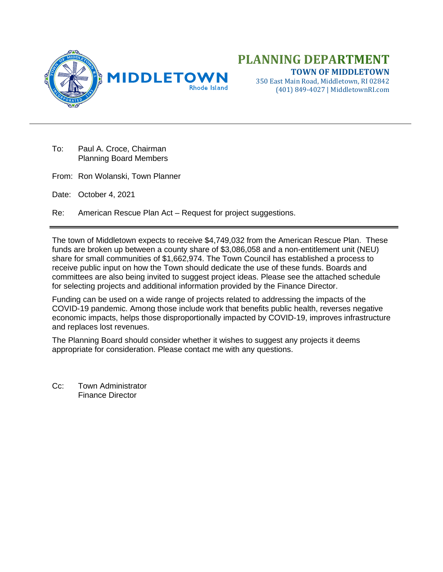

350 East Main Road, Middletown, RI 02842 (401) 849-4027 | MiddletownRI.com

- To: Paul A. Croce, Chairman Planning Board Members
- From: Ron Wolanski, Town Planner
- Date: October 4, 2021

Re: American Rescue Plan Act – Request for project suggestions.

The town of Middletown expects to receive \$4,749,032 from the American Rescue Plan. These funds are broken up between a county share of \$3,086,058 and a non-entitlement unit (NEU) share for small communities of \$1,662,974. The Town Council has established a process to receive public input on how the Town should dedicate the use of these funds. Boards and committees are also being invited to suggest project ideas. Please see the attached schedule for selecting projects and additional information provided by the Finance Director.

Funding can be used on a wide range of projects related to addressing the impacts of the COVID-19 pandemic. Among those include work that benefits public health, reverses negative economic impacts, helps those disproportionally impacted by COVID-19, improves infrastructure and replaces lost revenues.

The Planning Board should consider whether it wishes to suggest any projects it deems appropriate for consideration. Please contact me with any questions.

Cc: Town Administrator Finance Director